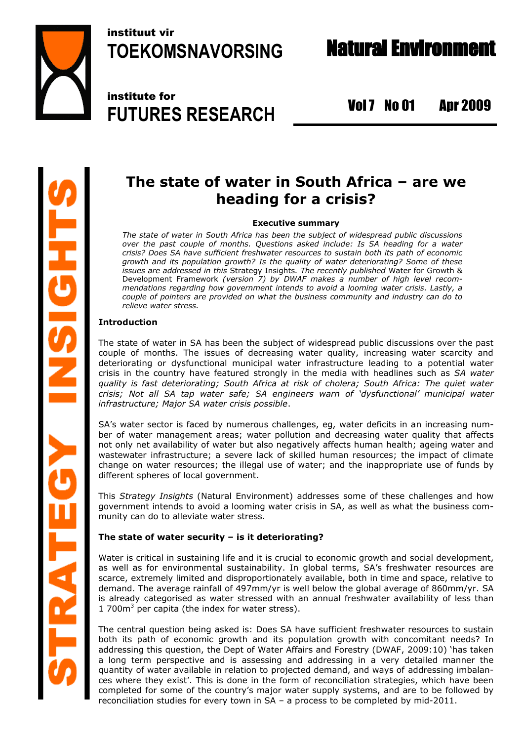

instituut vir **TOEKOMSNAVORSING**

institute for **FUTURES RESEARCH**

Vol 7 No 01 Apr 2009

# **The state of water in South Africa – are we heading for a crisis?**

# **Executive summary**

*The state of water in South Africa has been the subject of widespread public discussions over the past couple of months. Questions asked include: Is SA heading for a water crisis? Does SA have sufficient freshwater resources to sustain both its path of economic growth and its population growth? Is the quality of water deteriorating? Some of these issues are addressed in this* Strategy Insights*. The recently published* Water for Growth & Development Framework *(version 7) by DWAF makes a number of high level recommendations regarding how government intends to avoid a looming water crisis. Lastly, a couple of pointers are provided on what the business community and industry can do to relieve water stress.*

# **Introduction**

The state of water in SA has been the subject of widespread public discussions over the past couple of months. The issues of decreasing water quality, increasing water scarcity and deteriorating or dysfunctional municipal water infrastructure leading to a potential water crisis in the country have featured strongly in the media with headlines such as *SA water quality is fast deteriorating; South Africa at risk of cholera; South Africa: The quiet water crisis; Not all SA tap water safe; SA engineers warn of 'dysfunctional' municipal water infrastructure; Major SA water crisis possible*.

SA's water sector is faced by numerous challenges, eg, water deficits in an increasing number of water management areas; water pollution and decreasing water quality that affects not only net availability of water but also negatively affects human health; ageing water and wastewater infrastructure; a severe lack of skilled human resources; the impact of climate change on water resources; the illegal use of water; and the inappropriate use of funds by different spheres of local government.

This *Strategy Insights* (Natural Environment) addresses some of these challenges and how government intends to avoid a looming water crisis in SA, as well as what the business community can do to alleviate water stress.

# **The state of water security – is it deteriorating?**

Water is critical in sustaining life and it is crucial to economic growth and social development, as well as for environmental sustainability. In global terms, SA's freshwater resources are scarce, extremely limited and disproportionately available, both in time and space, relative to demand. The average rainfall of 497mm/yr is well below the global average of 860mm/yr. SA is already categorised as water stressed with an annual freshwater availability of less than 1 700 $m<sup>3</sup>$  per capita (the index for water stress).

The central question being asked is: Does SA have sufficient freshwater resources to sustain both its path of economic growth and its population growth with concomitant needs? In addressing this question, the Dept of Water Affairs and Forestry (DWAF, 2009:10) 'has taken a long term perspective and is assessing and addressing in a very detailed manner the quantity of water available in relation to projected demand, and ways of addressing imbalances where they exist'. This is done in the form of reconciliation strategies, which have been completed for some of the country's major water supply systems, and are to be followed by reconciliation studies for every town in SA – a process to be completed by mid-2011.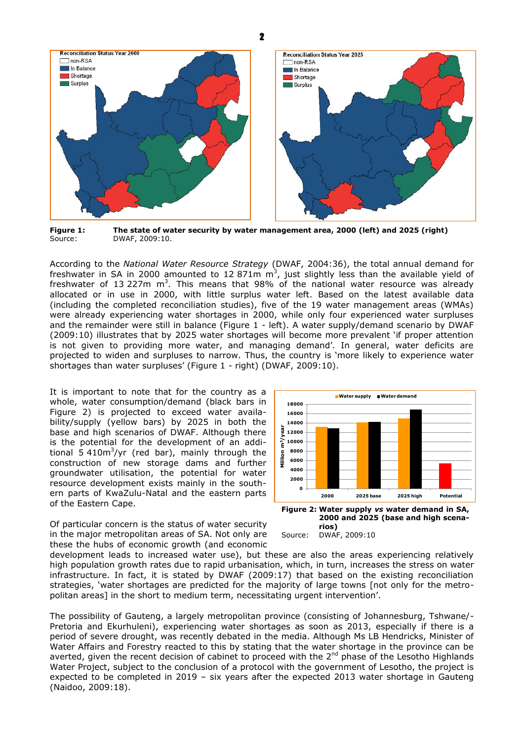

**Figure 1: The state of water security by water management area, 2000 (left) and 2025 (right)** Source: DWAF, 2009:10.

According to the *National Water Resource Strategy* (DWAF, 2004:36), the total annual demand for freshwater in SA in 2000 amounted to 12 871m  $m<sup>3</sup>$ , just slightly less than the available yield of freshwater of 13 227m  $m^3$ . This means that 98% of the national water resource was already allocated or in use in 2000, with little surplus water left. Based on the latest available data (including the completed reconciliation studies), five of the 19 water management areas (WMAs) were already experiencing water shortages in 2000, while only four experienced water surpluses and the remainder were still in balance (Figure 1 - left). A water supply/demand scenario by DWAF (2009:10) illustrates that by 2025 water shortages will become more prevalent 'if proper attention is not given to providing more water, and managing demand'. In general, water deficits are projected to widen and surpluses to narrow. Thus, the country is 'more likely to experience water shortages than water surpluses' (Figure 1 - right) (DWAF, 2009:10).

It is important to note that for the country as a whole, water consumption/demand (black bars in Figure 2) is projected to exceed water availability/supply (yellow bars) by 2025 in both the base and high scenarios of DWAF. Although there is the potential for the development of an additional 5 410 $m^3$ /yr (red bar), mainly through the construction of new storage dams and further groundwater utilisation, the potential for water resource development exists mainly in the southern parts of KwaZulu-Natal and the eastern parts of the Eastern Cape.



**2000 and 2025 (base and high scena-**

Of particular concern is the status of water security in the major metropolitan areas of SA. Not only are these the hubs of economic growth (and economic

**rios)** Source: DWAF, 2009:10

development leads to increased water use), but these are also the areas experiencing relatively high population growth rates due to rapid urbanisation, which, in turn, increases the stress on water infrastructure. In fact, it is stated by DWAF (2009:17) that based on the existing reconciliation strategies, 'water shortages are predicted for the majority of large towns [not only for the metropolitan areas] in the short to medium term, necessitating urgent intervention'.

The possibility of Gauteng, a largely metropolitan province (consisting of Johannesburg, Tshwane/- Pretoria and Ekurhuleni), experiencing water shortages as soon as 2013, especially if there is a period of severe drought, was recently debated in the media. Although Ms LB Hendricks, Minister of Water Affairs and Forestry reacted to this by stating that the water shortage in the province can be averted, given the recent decision of cabinet to proceed with the 2<sup>nd</sup> phase of the Lesotho Highlands Water Project, subject to the conclusion of a protocol with the government of Lesotho, the project is expected to be completed in 2019 – six years after the expected 2013 water shortage in Gauteng (Naidoo, 2009:18).

2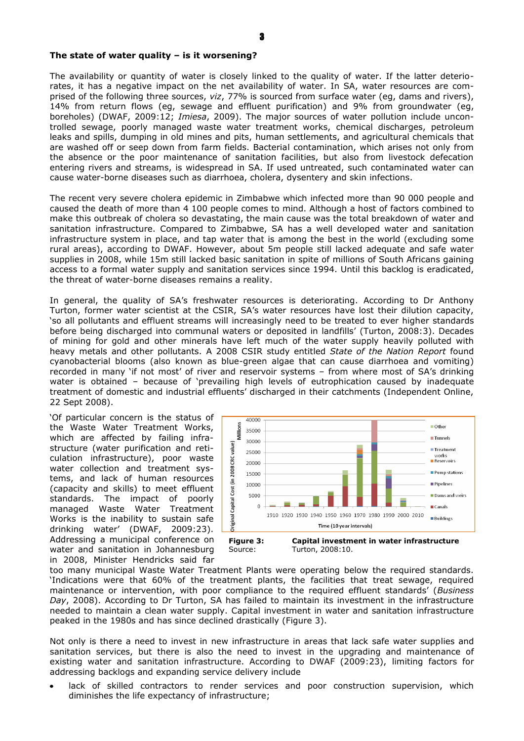#### **The state of water quality – is it worsening?**

The availability or quantity of water is closely linked to the quality of water. If the latter deteriorates, it has a negative impact on the net availability of water. In SA, water resources are comprised of the following three sources, *viz*, 77% is sourced from surface water (eg, dams and rivers), 14% from return flows (eg, sewage and effluent purification) and 9% from groundwater (eg, boreholes) (DWAF, 2009:12; *Imiesa*, 2009). The major sources of water pollution include uncontrolled sewage, poorly managed waste water treatment works, chemical discharges, petroleum leaks and spills, dumping in old mines and pits, human settlements, and agricultural chemicals that are washed off or seep down from farm fields. Bacterial contamination, which arises not only from the absence or the poor maintenance of sanitation facilities, but also from livestock defecation entering rivers and streams, is widespread in SA. If used untreated, such contaminated water can cause water-borne diseases such as diarrhoea, cholera, dysentery and skin infections.

The recent very severe cholera epidemic in Zimbabwe which infected more than 90 000 people and caused the death of more than 4 100 people comes to mind. Although a host of factors combined to make this outbreak of cholera so devastating, the main cause was the total breakdown of water and sanitation infrastructure. Compared to Zimbabwe, SA has a well developed water and sanitation infrastructure system in place, and tap water that is among the best in the world (excluding some rural areas), according to DWAF. However, about 5m people still lacked adequate and safe water supplies in 2008, while 15m still lacked basic sanitation in spite of millions of South Africans gaining access to a formal water supply and sanitation services since 1994. Until this backlog is eradicated, the threat of water-borne diseases remains a reality.

In general, the quality of SA's freshwater resources is deteriorating. According to Dr Anthony Turton, former water scientist at the CSIR, SA's water resources have lost their dilution capacity, 'so all pollutants and effluent streams will increasingly need to be treated to ever higher standards before being discharged into communal waters or deposited in landfills' (Turton, 2008:3). Decades of mining for gold and other minerals have left much of the water supply heavily polluted with heavy metals and other pollutants. A 2008 CSIR study entitled *State of the Nation Report* found cyanobacterial blooms (also known as blue-green algae that can cause diarrhoea and vomiting) recorded in many 'if not most' of river and reservoir systems – from where most of SA's drinking water is obtained – because of 'prevailing high levels of eutrophication caused by inadequate treatment of domestic and industrial effluents' discharged in their catchments (Independent Online, 22 Sept 2008).

'Of particular concern is the status of the Waste Water Treatment Works, which are affected by failing infrastructure (water purification and reticulation infrastructure), poor waste water collection and treatment systems, and lack of human resources (capacity and skills) to meet effluent standards. The impact of poorly managed Waste Water Treatment Works is the inability to sustain safe drinking water' (DWAF, 2009:23). Addressing a municipal conference on water and sanitation in Johannesburg in 2008, Minister Hendricks said far



too many municipal Waste Water Treatment Plants were operating below the required standards. 'Indications were that 60% of the treatment plants, the facilities that treat sewage, required maintenance or intervention, with poor compliance to the required effluent standards' (*Business Day*, 2008). According to Dr Turton, SA has failed to maintain its investment in the infrastructure needed to maintain a clean water supply. Capital investment in water and sanitation infrastructure peaked in the 1980s and has since declined drastically (Figure 3).

Not only is there a need to invest in new infrastructure in areas that lack safe water supplies and sanitation services, but there is also the need to invest in the upgrading and maintenance of existing water and sanitation infrastructure. According to DWAF (2009:23), limiting factors for addressing backlogs and expanding service delivery include

lack of skilled contractors to render services and poor construction supervision, which diminishes the life expectancy of infrastructure;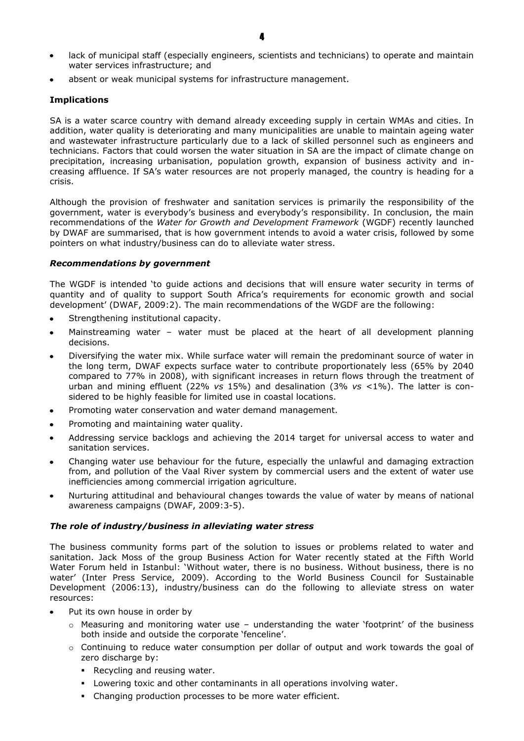- lack of municipal staff (especially engineers, scientists and technicians) to operate and maintain water services infrastructure; and
- absent or weak municipal systems for infrastructure management.

# **Implications**

SA is a water scarce country with demand already exceeding supply in certain WMAs and cities. In addition, water quality is deteriorating and many municipalities are unable to maintain ageing water and wastewater infrastructure particularly due to a lack of skilled personnel such as engineers and technicians. Factors that could worsen the water situation in SA are the impact of climate change on precipitation, increasing urbanisation, population growth, expansion of business activity and increasing affluence. If SA's water resources are not properly managed, the country is heading for a crisis.

Although the provision of freshwater and sanitation services is primarily the responsibility of the government, water is everybody's business and everybody's responsibility. In conclusion, the main recommendations of the *Water for Growth and Development Framework* (WGDF) recently launched by DWAF are summarised, that is how government intends to avoid a water crisis, followed by some pointers on what industry/business can do to alleviate water stress.

## *Recommendations by government*

The WGDF is intended 'to guide actions and decisions that will ensure water security in terms of quantity and of quality to support South Africa's requirements for economic growth and social development' (DWAF, 2009:2). The main recommendations of the WGDF are the following:

- Strengthening institutional capacity.
- Mainstreaming water water must be placed at the heart of all development planning  $\bullet$ decisions.
- Diversifying the water mix. While surface water will remain the predominant source of water in the long term, DWAF expects surface water to contribute proportionately less (65% by 2040 compared to 77% in 2008), with significant increases in return flows through the treatment of urban and mining effluent (22% *vs* 15%) and desalination (3% *vs* <1%). The latter is considered to be highly feasible for limited use in coastal locations.
- Promoting water conservation and water demand management.
- Promoting and maintaining water quality.
- Addressing service backlogs and achieving the 2014 target for universal access to water and sanitation services.
- Changing water use behaviour for the future, especially the unlawful and damaging extraction from, and pollution of the Vaal River system by commercial users and the extent of water use inefficiencies among commercial irrigation agriculture.
- Nurturing attitudinal and behavioural changes towards the value of water by means of national awareness campaigns (DWAF, 2009:3-5).

# *The role of industry/business in alleviating water stress*

The business community forms part of the solution to issues or problems related to water and sanitation. Jack Moss of the group Business Action for Water recently stated at the Fifth World Water Forum held in Istanbul: 'Without water, there is no business. Without business, there is no water' (Inter Press Service, 2009). According to the World Business Council for Sustainable Development (2006:13), industry/business can do the following to alleviate stress on water resources:

- Put its own house in order by
	- $\circ$  Measuring and monitoring water use understanding the water 'footprint' of the business both inside and outside the corporate 'fenceline'.
	- $\circ$  Continuing to reduce water consumption per dollar of output and work towards the goal of zero discharge by:
		- Recycling and reusing water.
		- Lowering toxic and other contaminants in all operations involving water.
		- Changing production processes to be more water efficient.